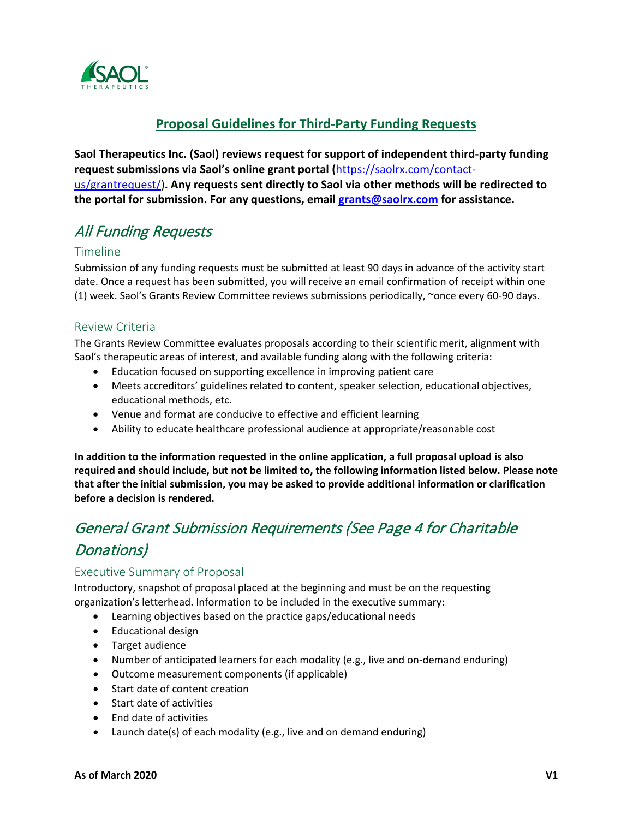

# **Proposal Guidelines for Third-Party Funding Requests**

**Saol Therapeutics Inc. (Saol) reviews request for support of independent third-party funding request submissions via Saol's online grant portal (**[https://saolrx.com/contact](https://saolrx.com/contact-us/grantrequest/)[us/grantrequest/\)](https://saolrx.com/contact-us/grantrequest/)**. Any requests sent directly to Saol via other methods will be redirected to the portal for submission. For any questions, email [grants@saolrx.com](mailto:grants@saolrx.com) for assistance.**

# All Funding Requests

### Timeline

Submission of any funding requests must be submitted at least 90 days in advance of the activity start date. Once a request has been submitted, you will receive an email confirmation of receipt within one (1) week. Saol's Grants Review Committee reviews submissions periodically, ~once every 60-90 days.

## Review Criteria

The Grants Review Committee evaluates proposals according to their scientific merit, alignment with Saol's therapeutic areas of interest, and available funding along with the following criteria:

- Education focused on supporting excellence in improving patient care
- Meets accreditors' guidelines related to content, speaker selection, educational objectives, educational methods, etc.
- Venue and format are conducive to effective and efficient learning
- Ability to educate healthcare professional audience at appropriate/reasonable cost

**In addition to the information requested in the online application, a full proposal upload is also required and should include, but not be limited to, the following information listed below. Please note that after the initial submission, you may be asked to provide additional information or clarification before a decision is rendered.** 

# General Grant Submission Requirements (See Page 4 for Charitable Donations)

# Executive Summary of Proposal

Introductory, snapshot of proposal placed at the beginning and must be on the requesting organization's letterhead. Information to be included in the executive summary:

- Learning objectives based on the practice gaps/educational needs
- Educational design
- Target audience
- Number of anticipated learners for each modality (e.g., live and on-demand enduring)
- Outcome measurement components (if applicable)
- Start date of content creation
- Start date of activities
- End date of activities
- Launch date(s) of each modality (e.g., live and on demand enduring)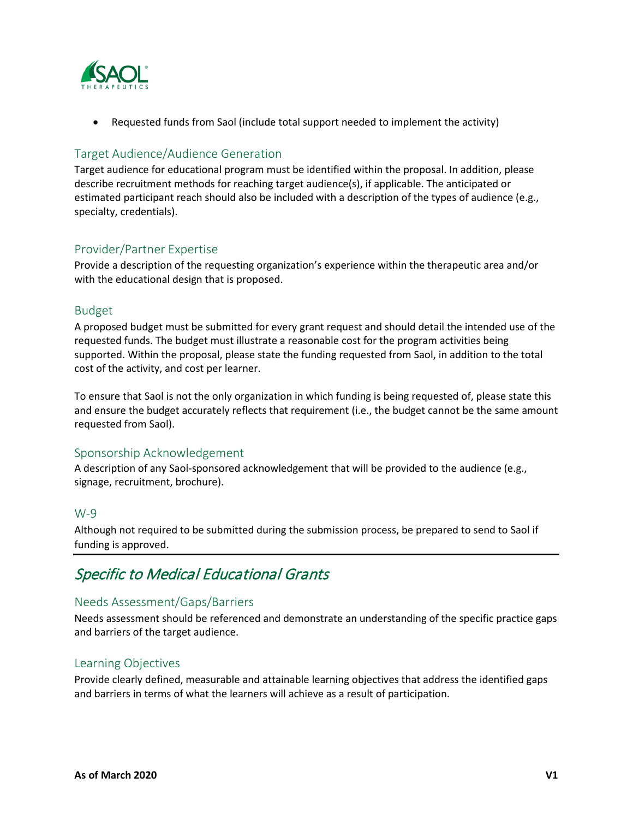

• Requested funds from Saol (include total support needed to implement the activity)

# Target Audience/Audience Generation

Target audience for educational program must be identified within the proposal. In addition, please describe recruitment methods for reaching target audience(s), if applicable. The anticipated or estimated participant reach should also be included with a description of the types of audience (e.g., specialty, credentials).

# Provider/Partner Expertise

Provide a description of the requesting organization's experience within the therapeutic area and/or with the educational design that is proposed.

#### Budget

A proposed budget must be submitted for every grant request and should detail the intended use of the requested funds. The budget must illustrate a reasonable cost for the program activities being supported. Within the proposal, please state the funding requested from Saol, in addition to the total cost of the activity, and cost per learner.

To ensure that Saol is not the only organization in which funding is being requested of, please state this and ensure the budget accurately reflects that requirement (i.e., the budget cannot be the same amount requested from Saol).

### Sponsorship Acknowledgement

A description of any Saol-sponsored acknowledgement that will be provided to the audience (e.g., signage, recruitment, brochure).

### W-9

Although not required to be submitted during the submission process, be prepared to send to Saol if funding is approved.

# Specific to Medical Educational Grants

### Needs Assessment/Gaps/Barriers

Needs assessment should be referenced and demonstrate an understanding of the specific practice gaps and barriers of the target audience.

### Learning Objectives

Provide clearly defined, measurable and attainable learning objectives that address the identified gaps and barriers in terms of what the learners will achieve as a result of participation.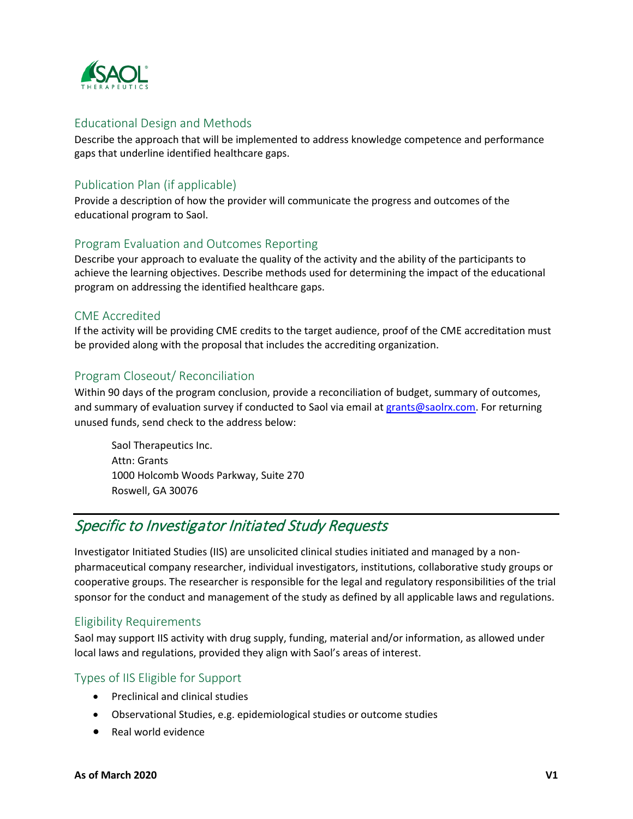

## Educational Design and Methods

Describe the approach that will be implemented to address knowledge competence and performance gaps that underline identified healthcare gaps.

# Publication Plan (if applicable)

Provide a description of how the provider will communicate the progress and outcomes of the educational program to Saol.

### Program Evaluation and Outcomes Reporting

Describe your approach to evaluate the quality of the activity and the ability of the participants to achieve the learning objectives. Describe methods used for determining the impact of the educational program on addressing the identified healthcare gaps.

## CME Accredited

If the activity will be providing CME credits to the target audience, proof of the CME accreditation must be provided along with the proposal that includes the accrediting organization.

## Program Closeout/ Reconciliation

Within 90 days of the program conclusion, provide a reconciliation of budget, summary of outcomes, and summary of evaluation survey if conducted to Saol via email a[t grants@saolrx.com.](mailto:grants@saolrx.com) For returning unused funds, send check to the address below:

Saol Therapeutics Inc. Attn: Grants 1000 Holcomb Woods Parkway, Suite 270 Roswell, GA 30076

# Specific to Investigator Initiated Study Requests

Investigator Initiated Studies (IIS) are unsolicited clinical studies initiated and managed by a nonpharmaceutical company researcher, individual investigators, institutions, collaborative study groups or cooperative groups. The researcher is responsible for the legal and regulatory responsibilities of the trial sponsor for the conduct and management of the study as defined by all applicable laws and regulations.

### Eligibility Requirements

Saol may support IIS activity with drug supply, funding, material and/or information, as allowed under local laws and regulations, provided they align with Saol's areas of interest.

# Types of IIS Eligible for Support

- Preclinical and clinical studies
- Observational Studies, e.g. epidemiological studies or outcome studies
- Real world evidence